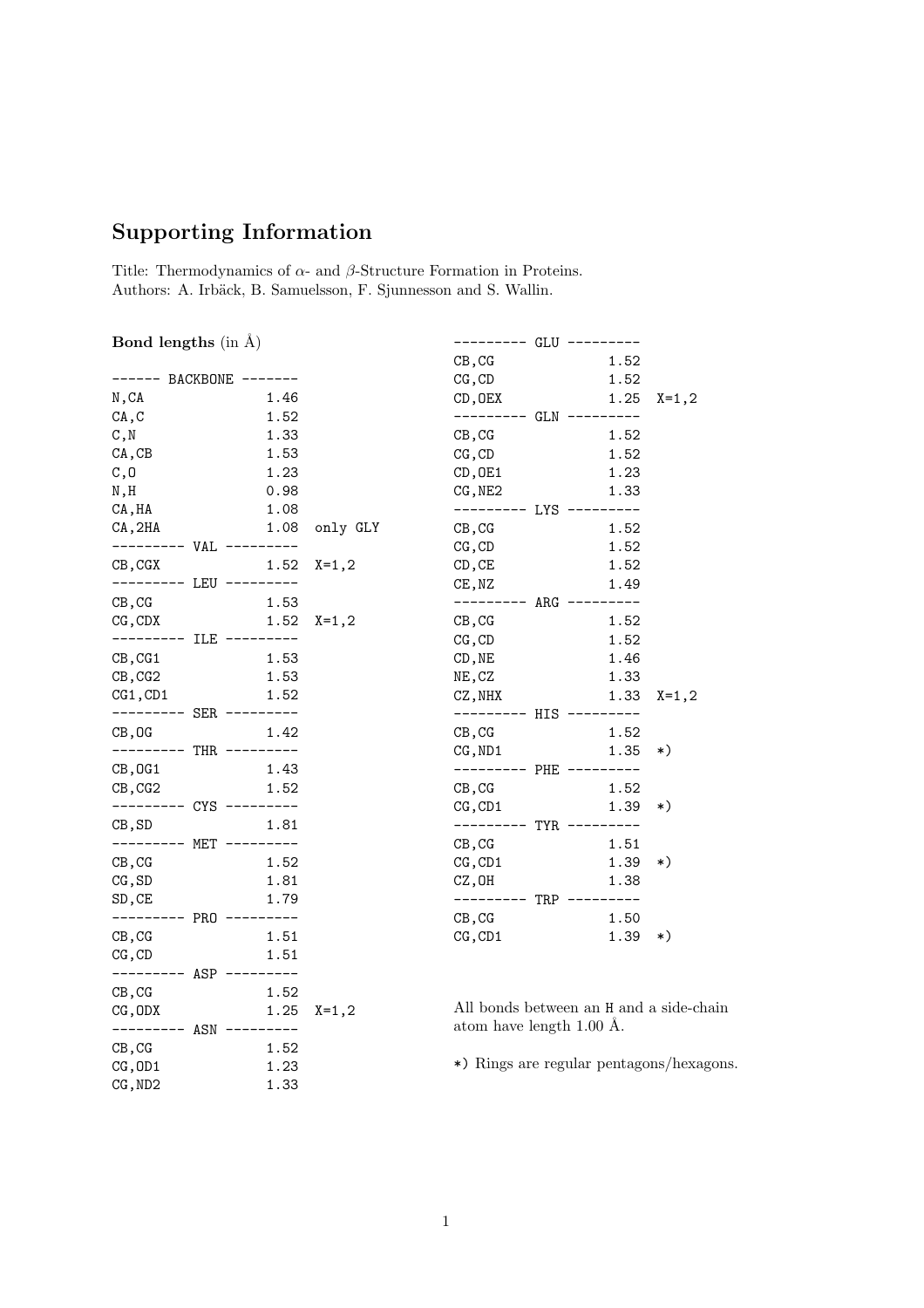## Supporting Information

Title: Thermodynamics of  $\alpha\text{-}$  and  $\beta\text{-}Structure$  Formation in Proteins. Authors: A. Irbäck, B. Samuelsson, F. Sjunnesson and S. Wallin.

## Bond lengths  $(in \,\AA)$

| 1.46<br>N, CA<br>CA, C       |      |
|------------------------------|------|
|                              |      |
|                              | 1.52 |
| C, N<br>1.33                 |      |
| 1.53<br>CA, CB               |      |
| 1.23<br>C, 0                 |      |
| N,H<br>0.98                  |      |
| 1.08<br>CA, HA               |      |
| CA, 2HA<br>1.08<br>only GLY  |      |
| VAL<br>$-- -$                |      |
| $X = 1, 2$<br>CB,CGX<br>1.52 |      |
| LEU<br>----                  |      |
| 1.53<br>CB, CG               |      |
| 1.52<br>CG,CDX<br>X=1,2      |      |
| ILE<br>----                  |      |
| 1.53<br>CB, CG1              |      |
| 1.53<br>CB, CG2              |      |
| CG1,CD1<br>1.52              |      |
| SER                          |      |
| CB, OG<br>1.42               |      |
| THR                          |      |
| 1.43<br>CB,OG1               |      |
| 1.52<br>CB,CG2               |      |
| CYS                          |      |
| CB,SD<br>1.81                |      |
| MET                          |      |
| 1.52<br>CB, CG               |      |
| 1.81<br>CG, SD               |      |
| 1.79<br>$_{\rm SD, CE}$      |      |
| ----<br>PRO                  |      |
| 1.51<br>CB, CG               |      |
| 1.51<br>$CG$ , $CD$          |      |
| ---<br>ASP                   |      |
| CB, CG<br>1.52               |      |
| 1.25<br>CG,ODX<br>$X = 1, 2$ |      |
| <br>ASN                      |      |
| 1.52<br>CB, CG               |      |
| 1.23<br>CG, OD1              |      |
| CG, ND2<br>1.33              |      |

|                               | GLU        |      |            |
|-------------------------------|------------|------|------------|
| CB, CG                        |            | 1.52 |            |
| CG, CD                        |            | 1.52 |            |
| CD, OEX                       |            | 1.25 | $X = 1, 2$ |
|                               | GLN        |      |            |
| CB, CG                        |            | 1.52 |            |
| CG, CD                        |            | 1.52 |            |
| CD, OE1                       |            | 1.23 |            |
| CG,NE2                        |            | 1.33 |            |
|                               | LYS        |      |            |
| $\texttt{CB}$ , $\texttt{CG}$ |            | 1.52 |            |
| CG, CD                        |            | 1.52 |            |
| CD, CE                        |            | 1.52 |            |
| CE, NZ                        |            | 1.49 |            |
|                               | ARG        |      |            |
| CB, CG                        |            | 1.52 |            |
| CG, CD                        |            | 1.52 |            |
| CD, NE                        |            | 1.46 |            |
| NE, CZ                        |            | 1.33 |            |
| CZ, NHX                       |            | 1.33 | $X = 1, 2$ |
| ----                          | HIS        |      |            |
| CB, CG                        |            | 1.52 |            |
| CG, ND1                       |            | 1.35 | *)         |
|                               | PHE        |      |            |
| $CB$ , $CG$                   |            | 1.52 |            |
| CG, CD1                       |            | 1.39 | *)         |
|                               | <b>TYR</b> |      |            |
| $CB$ , $CG$                   |            | 1.51 |            |
| CG, CD1                       |            | 1.39 | *)         |
| CZ,OH                         |            | 1.38 |            |
|                               | TRP        |      |            |
| CB, CG                        |            | 1.50 |            |
| CG, CD1                       |            | 1.39 | *)         |

All bonds between an H and a side-chain atom have length 1.00 Å.

\*) Rings are regular pentagons/hexagons.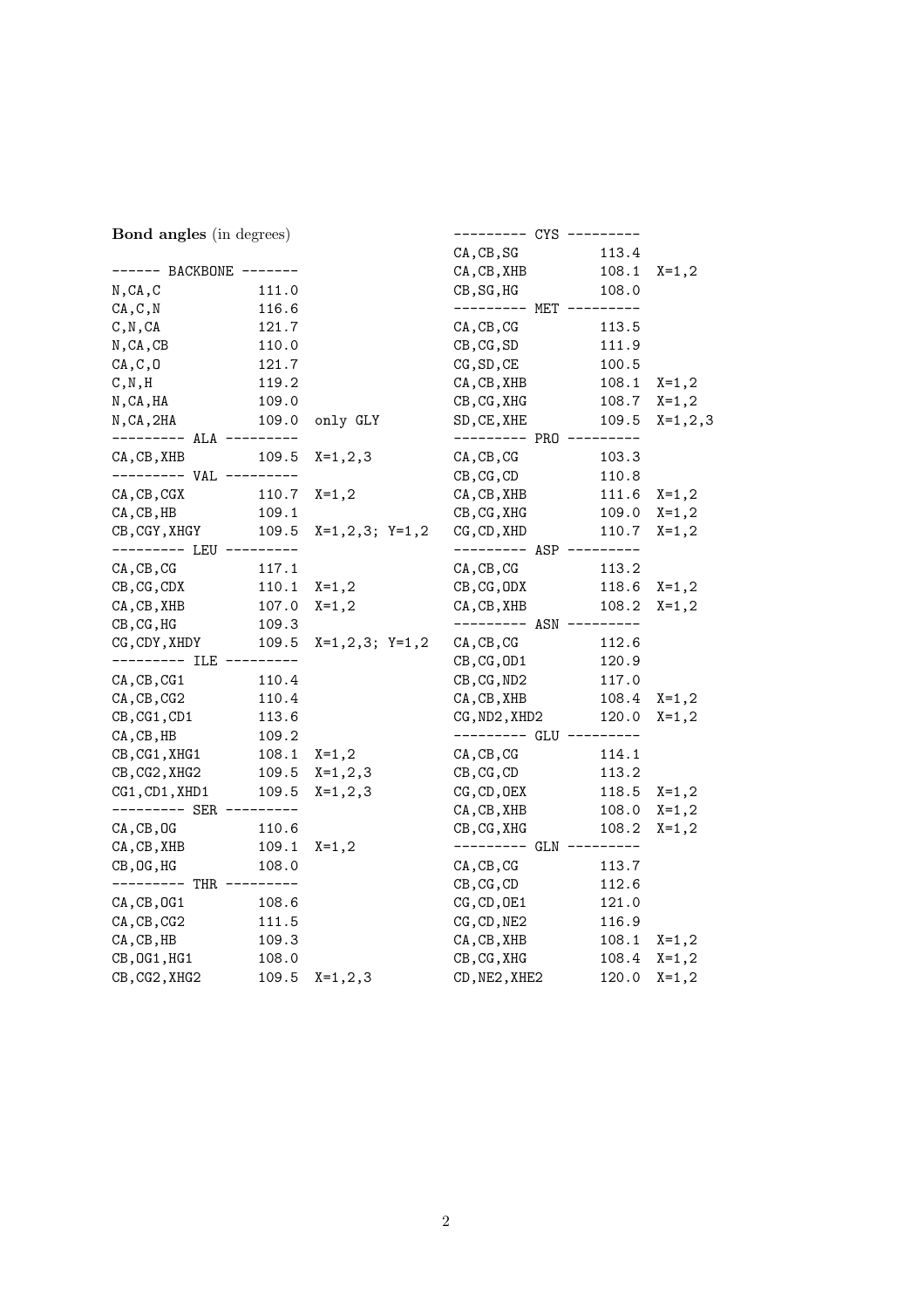| <b>Bond angles</b> (in degrees) |            |                     |                         |          |             |
|---------------------------------|------------|---------------------|-------------------------|----------|-------------|
|                                 |            |                     | CA, CB, SG              | 113.4    |             |
| ------ BACKBONE -------         |            |                     | CA, CB, XHB             | 108.1    | $X = 1, 2$  |
| N, CA, C                        | 111.0      |                     | CB, SG, HG              | 108.0    |             |
| CA, C, N                        | 116.6      |                     | --------- MET --------- |          |             |
| C, N, CA                        | 121.7      |                     | $CA$ , $CB$ , $CG$      | 113.5    |             |
| $N$ , CA, CB                    | 110.0      |                     | $CB$ , $CG$ , $SD$      | 111.9    |             |
| CA, C, 0                        | 121.7      |                     | CG, SD, CE              | 100.5    |             |
| C, N, H                         | 119.2      |                     | CA, CB, XHB             | 108.1    | $X = 1, 2$  |
| N,CA,HA                         | 109.0      |                     | CB, CG, XHG             | 108.7    | $X=1,2$     |
| N, CA, 2HA                      | 109.0      | only GLY            | SD, CE, XHE             | 109.5    | $X=1, 2, 3$ |
| --------- ALA ---------         |            |                     | --------- PRO --------- |          |             |
| CA, CB, XHB                     | 109.5      | $X=1, 2, 3$         | $CA$ , $CB$ , $CG$      | 103.3    |             |
|                                 | ---------- |                     | CB, CG, CD              | 110.8    |             |
| CA, CB, CGX                     | 110.7      | $X = 1, 2$          | CA, CB, XHB             | 111.6    | $X = 1, 2$  |
| CA, CB, HB                      | 109.1      |                     | $CB$ , $CG$ , $XHG$     | 109.0    | $X=1,2$     |
| CB, CGY, XHGY                   | 109.5      | $X=1, 2, 3; Y=1, 2$ | CG, CD, XHD             | 110.7    | $X=1,2$     |
| --------- LEU ---------         |            |                     | --------- ASP --------- |          |             |
| $CA$ , $CB$ , $CG$              | 117.1      |                     | $CA$ , $CB$ , $CG$      | 113.2    |             |
| $CB$ , $CG$ , $CDX$             | 110.1      | $X=1,2$             | $CB$ , $CG$ , $ODX$     | 118.6    | $X = 1, 2$  |
| CA, CB, XHB                     | 107.0      | $X = 1, 2$          | CA, CB, XHB             | 108.2    | $X=1,2$     |
| CB, CG, HG                      | 109.3      |                     | --------- ASN --------- |          |             |
| CG, CDY, XHDY                   | 109.5      | $X=1,2,3; Y=1,2$    | CA, CB, CG              | 112.6    |             |
| --------- ILE                   | ---------  |                     | $CB$ , $CG$ , $OD1$     | 120.9    |             |
| CA, CB, CG1                     | 110.4      |                     | $CB$ , $CG$ , $ND2$     | 117.0    |             |
| CA, CB, CG2                     | 110.4      |                     | CA, CB, XHB             | 108.4    | $X = 1, 2$  |
| $CB$ , $CG1$ , $CD1$            | 113.6      |                     | CG, ND2, XHD2           | 120.0    | $X=1,2$     |
| CA, CB, HB                      | 109.2      |                     | --------- GLU --------- |          |             |
| CB, CG1, XHG1                   | 108.1      | $X=1,2$             | $CA$ , $CB$ , $CG$      | 114.1    |             |
| CB, CG2, XHG2                   |            | $109.5$ $X=1,2,3$   | $CB$ , $CG$ , $CD$      | 113.2    |             |
| CG1, CD1, XHD1                  |            | 109.5 $X=1, 2, 3$   | $CG$ , $CD$ , $0EX$     | 118.5    | $X = 1, 2$  |
|                                 |            |                     | CA, CB, XHB             | 108.0    | $X=1,2$     |
| $CA$ , $CB$ , $OG$              | 110.6      |                     | CB, CG, XHG             | 108.2    | $X=1,2$     |
| CA, CB, XHB                     | 109.1      | $X = 1, 2$          | $------ - -$ GLN        | -------- |             |
| $CB$ , $OG$ , $HG$              | 108.0      |                     | $CA$ , $CB$ , $CG$      | 113.7    |             |
| --------- THR ---------         |            |                     | CB, CG, CD              | 112.6    |             |
| CA, CB, OG1                     | 108.6      |                     | CG, CD, OE1             | 121.0    |             |
| CA, CB, CG2                     | 111.5      |                     | CG, CD, NE2             | 116.9    |             |
| CA, CB, HB                      | 109.3      |                     | CA, CB, XHB             | 108.1    | $X=1,2$     |
| CB, OG1, HG1                    | 108.0      |                     | CB, CG, XHG             | 108.4    | $X=1,2$     |
| CB, CG2, XHG2                   | 109.5      | $X=1, 2, 3$         | CD, NE2, XHE2           | 120.0    | $X = 1, 2$  |